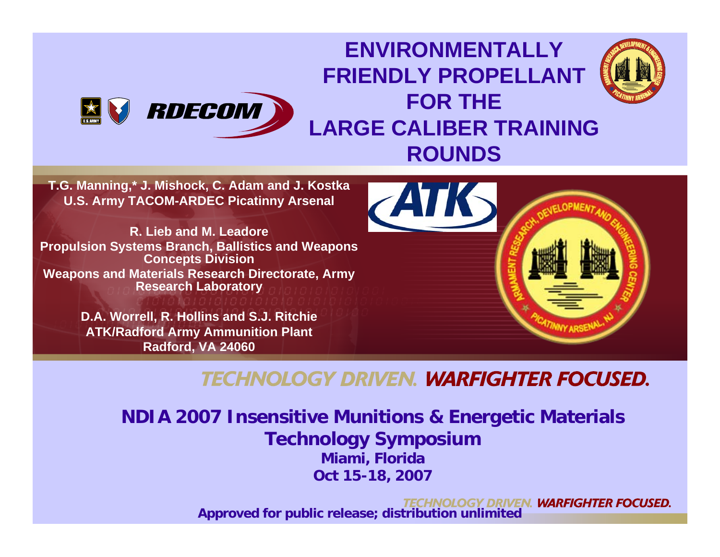#### **ENVIRONMENTALLY FRIENDLY PROPELLANT FOR THE**  RDECOM **X LARGE CALIBER TRAINING ROUNDS**

**T.G. Manning,\* J. Mishock, C. Adam and J. Kostka U.S. Army TACOM-ARDEC Picatinny Arsenal**

**R. Lieb and M. LeadorePropulsion Systems Branch, Ballistics and Weapons Concepts Division Weapons and Materials Research Directorate, Army Research Laboratory**

> **D.A. Worrell, R. Hollins and S.J. Ritchie ATK/Radford Army Ammunition Plant Radford, VA 24060**



#### **TECHNOLOGY DRIVEN. WARFIGHTER FOCUSED.**

**NDIA 2007 Insensitive Munitions & Energetic Materials Technology Symposium Miami, Florida Oct 15-18, 2007**

> Y DRIVEN. **WARFIGHTER FOCUSED. Approved for public release; distribution unlimited** 1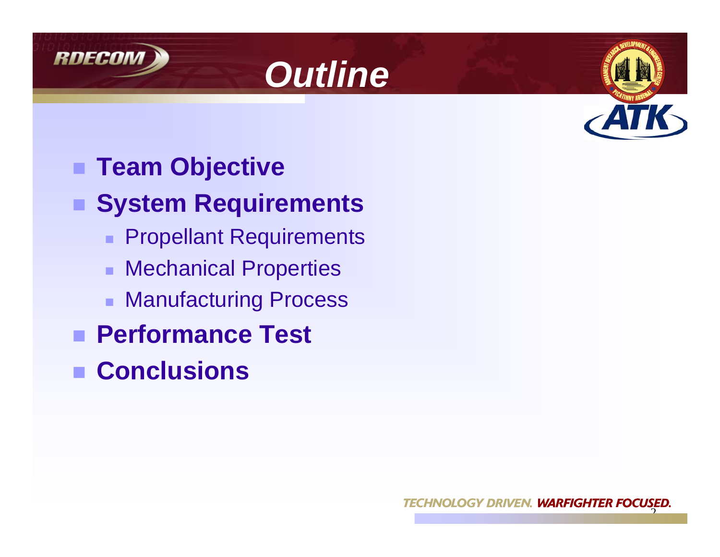





# ■ Team Objective

#### ■ System Requirements

- **Propellant Requirements**
- Mechanical Properties
- Manufacturing Process
- **Performance Test**
- **Conclusions**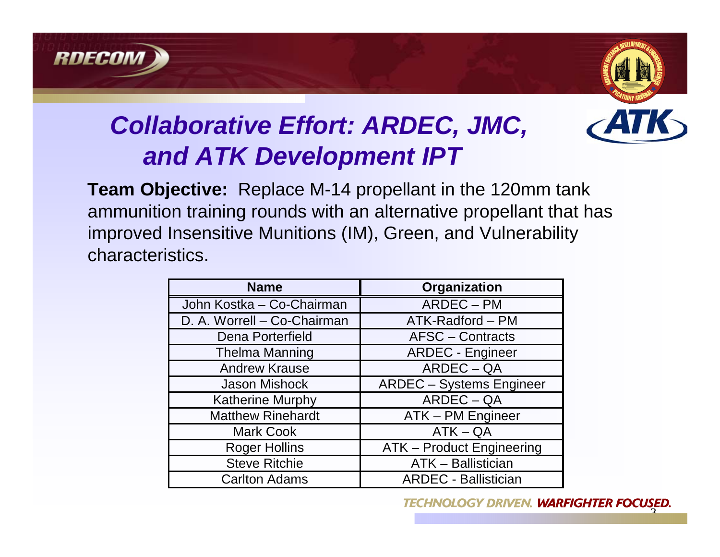



### *Collaborative Effort: ARDEC, JMC, and ATK Development IPT*

**Team Objective:** Replace M-14 propellant in the 120mm tank ammunition training rounds with an alternative propellant that has improved Insensitive Munitions (IM), Green, and Vulnerability characteristics.

| <b>Name</b>                 | Organization                     |  |
|-----------------------------|----------------------------------|--|
| John Kostka - Co-Chairman   | ARDEC - PM                       |  |
| D. A. Worrell - Co-Chairman | ATK-Radford - PM                 |  |
| Dena Porterfield            | <b>AFSC</b> – Contracts          |  |
| <b>Thelma Manning</b>       | <b>ARDEC - Engineer</b>          |  |
| <b>Andrew Krause</b>        | $ARDEC-QA$                       |  |
| <b>Jason Mishock</b>        | <b>ARDEC</b> - Systems Engineer  |  |
| <b>Katherine Murphy</b>     | $ARDEC-QA$                       |  |
| <b>Matthew Rinehardt</b>    | ATK - PM Engineer                |  |
| <b>Mark Cook</b>            | $ATK - QA$                       |  |
| <b>Roger Hollins</b>        | <b>ATK - Product Engineering</b> |  |
| <b>Steve Ritchie</b>        | <b>ATK - Ballistician</b>        |  |
| <b>Carlton Adams</b>        | <b>ARDEC - Ballistician</b>      |  |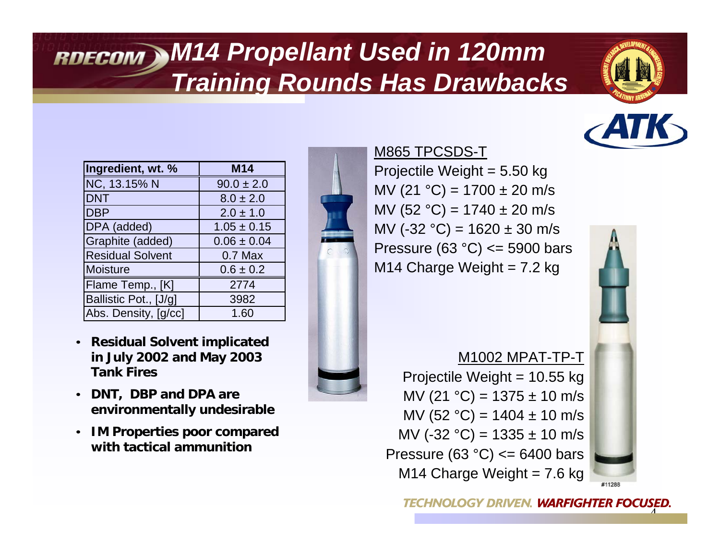### *M14 Propellant Used in 120mm Training Rounds Has Drawbacks*





| Ingredient, wt. %       | <b>M14</b>      |
|-------------------------|-----------------|
| NC, 13.15% N            | $90.0 \pm 2.0$  |
| <b>DNT</b>              | $8.0 \pm 2.0$   |
| <b>DBP</b>              | $2.0 \pm 1.0$   |
| DPA (added)             | $1.05 \pm 0.15$ |
| Graphite (added)        | $0.06 \pm 0.04$ |
| <b>Residual Solvent</b> | $0.7$ Max       |
| <b>Moisture</b>         | $0.6 \pm 0.2$   |
| Flame Temp., [K]        | 2774            |
| Ballistic Pot., [J/g]   | 3982            |
| Abs. Density, [g/cc]    | 1.60            |

- **Residual Solvent implicated in July 2002 and May 2003 Tank Fires**
- **DNT, DBP and DPA are environmentally undesirable**
- **IM Properties poor compared with tactical ammunition**



#### M865 TPCSDS-T

Projectile Weight = 5.50 kg MV (21  $^{\circ}$ C) = 1700 ± 20 m/s MV (52 °C) =  $1740 \pm 20$  m/s MV (-32  $^{\circ}$ C) = 1620 ± 30 m/s Pressure (63  $°C$ ) <= 5900 bars M14 Charge Weight  $= 7.2$  kg

M1002 MPAT-TP-TProjectile Weight = 10.55 kg MV (21  $^{\circ}$ C) = 1375 ± 10 m/s MV (52 °C) =  $1404 \pm 10$  m/s MV (-32 °C) =  $1335 \pm 10$  m/s Pressure (63  $°C$ ) <= 6400 bars M14 Charge Weight =  $7.6$  kg



#11288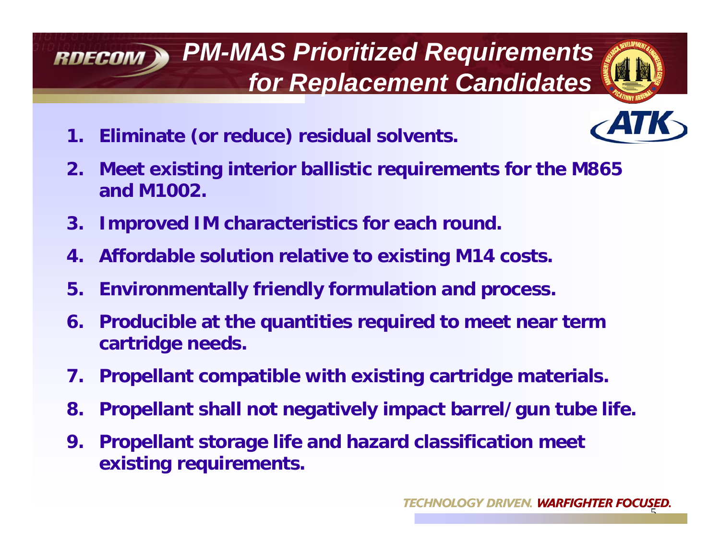#### *PM-MAS Prioritized Requirements*  **RDECOM** *for Replacement Candidates*



- **1. Eliminate (or reduce) residual solvents.**
- **2. Meet existing interior ballistic requirements for the M865 and M1002.**
- **3. Improved IM characteristics for each round.**
- **4. Affordable solution relative to existing M14 costs.**
- **5. Environmentally friendly formulation and process.**
- **6. Producible at the quantities required to meet near term cartridge needs.**
- **7. Propellant compatible with existing cartridge materials.**
- **8. Propellant shall not negatively impact barrel/gun tube life.**
- **9. Propellant storage life and hazard classification meet existing requirements.**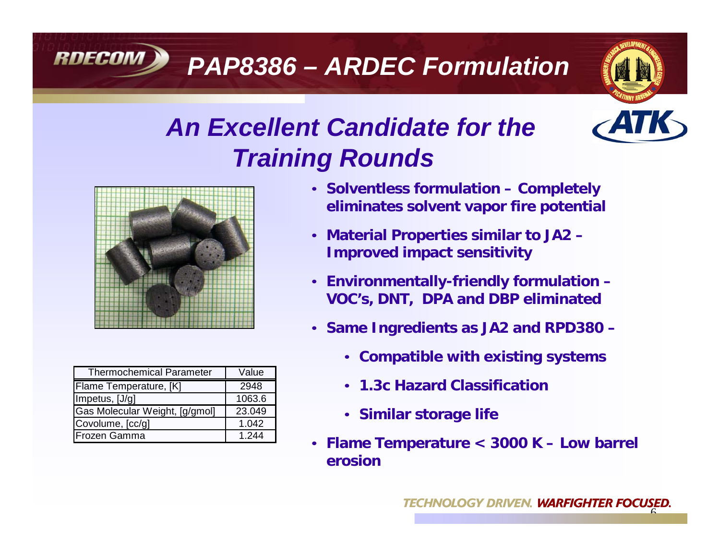### *PAP8386 – ARDEC Formulation*



### *An Excellent Candidate for the Training Rounds*



**RDECOM** 

| <b>Thermochemical Parameter</b> | Value  |
|---------------------------------|--------|
| Flame Temperature, [K]          | 2948   |
| Impetus, [J/g]                  | 1063.6 |
| Gas Molecular Weight, [g/gmol]  | 23.049 |
| Covolume, [cc/g]                | 1.042  |
| <b>Frozen Gamma</b>             | 1.244  |

- **Solventless formulation Completely eliminates solvent vapor fire potential**
- **Material Properties similar to JA2 Improved impact sensitivity**
- **Environmentally-friendly formulation VOC's, DNT, DPA and DBP eliminated**
- **Same Ingredients as JA2 and RPD380 –**
	- **Compatible with existing systems**
	- **1.3c Hazard Classification**
	- **Similar storage life**
- **Flame Temperature < 3000 K Low barrel erosion**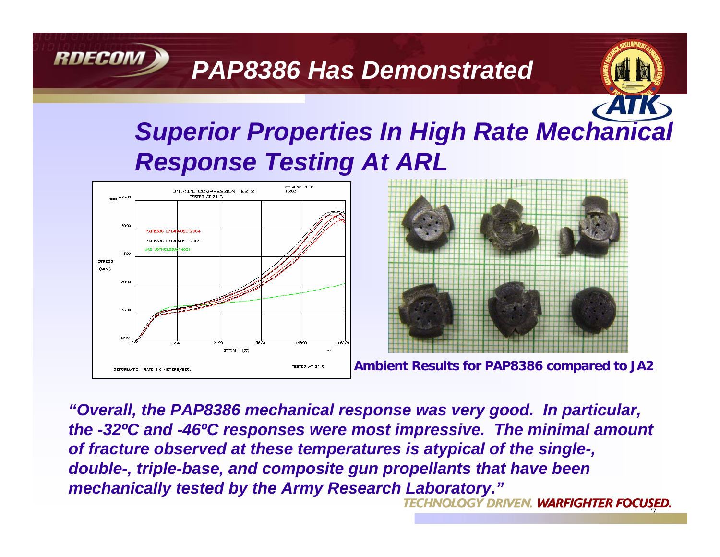#### *PAP8386 Has Demonstrated*

### *Superior Properties In High Rate Mechanical Response Testing At ARL*



RDECOM



**Ambient Results for PAP8386 compared to JA2**

7

*"Overall, the PAP8386 mechanical response was very good. In particular, the -32ºC and -46ºC responses were most impressive. The minimal amount of fracture observed at these temperatures is atypical of the single-, double-, triple-base, and composite gun propellants that have been mechanically tested by the Army Research Laboratory."*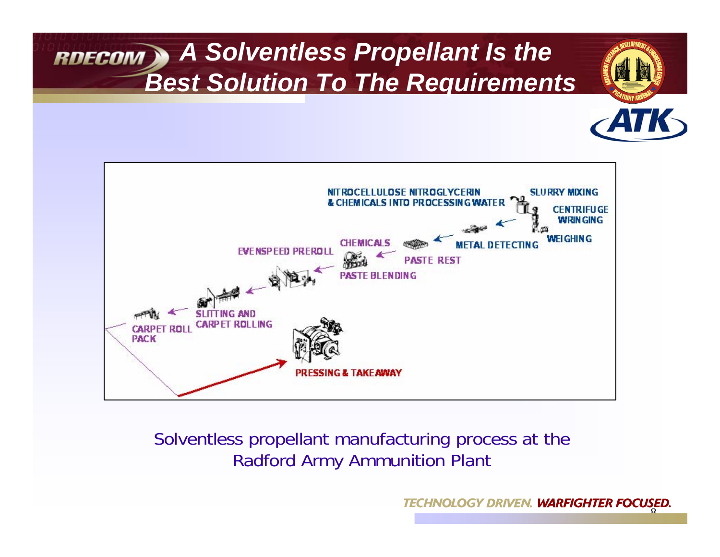#### *A Solventless Propellant Is the Best Solution To The Requirements*



#### Solventless propellant manufacturing process at the Radford Army Ammunition Plant

**TECHNOLOGY DRIVEN. WARFIGHTER FO** 8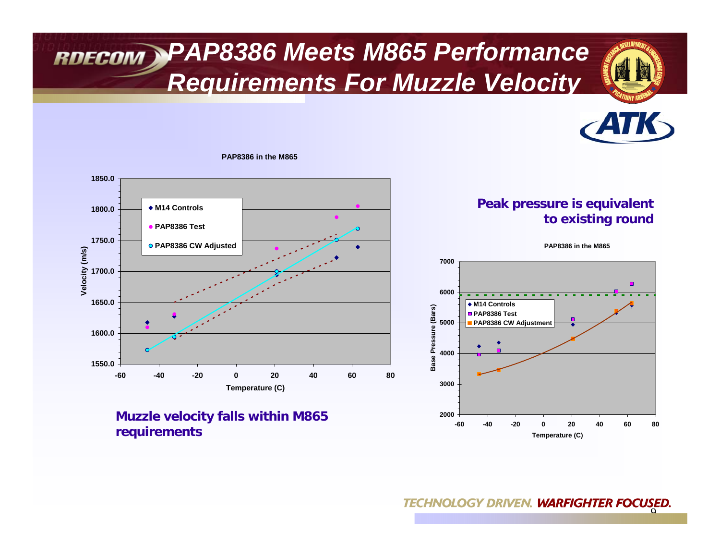#### *PAP8386 Meets M865 Performance Requirements For Muzzle Velocity*







**PAP8386 in the M865**

**Muzzle velocity falls within M865 requirements**

**Peak pressure is equivalent to existing round**

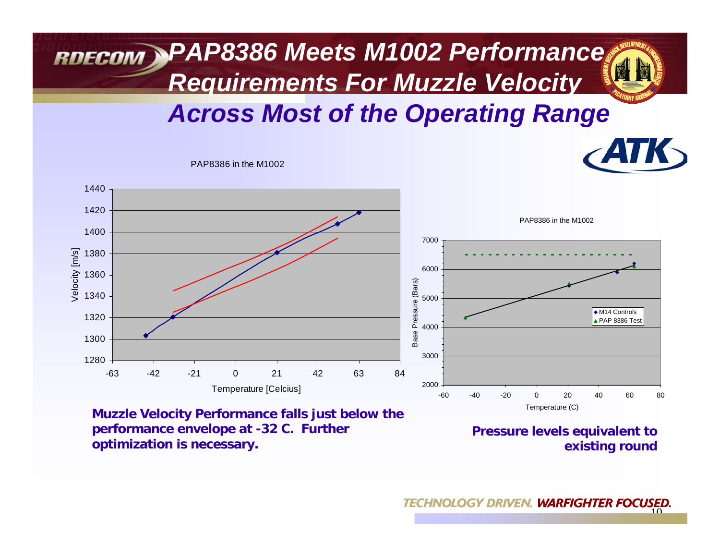

PAP8386 in the M1002



**Muzzle Velocity Performance falls just below the performance envelope at -32 C. Further optimization is necessary.**

**Pressure levels equivalent to existing round**